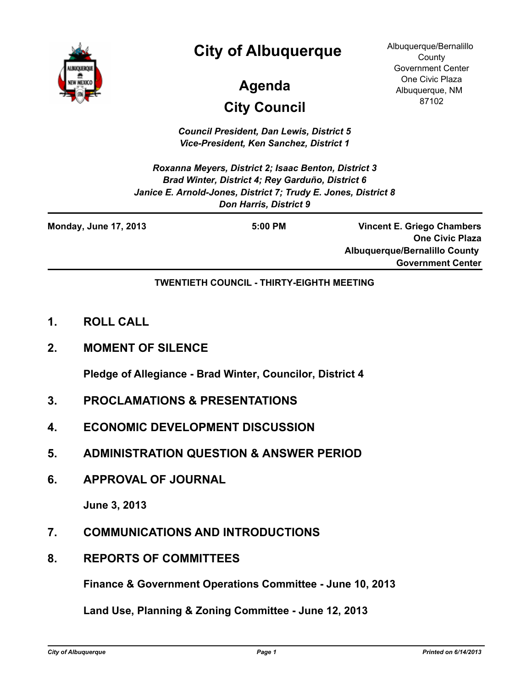

# **City of Albuquerque**

# **Agenda**

# **City Council**

*Council President, Dan Lewis, District 5 Vice-President, Ken Sanchez, District 1*

*Roxanna Meyers, District 2; Isaac Benton, District 3 Brad Winter, District 4; Rey Garduño, District 6 Janice E. Arnold-Jones, District 7; Trudy E. Jones, District 8 Don Harris, District 9*

**Monday, June 17, 2013 5:00 PM**

**Vincent E. Griego Chambers One Civic Plaza Albuquerque/Bernalillo County Government Center**

Albuquerque/Bernalillo **County** Government Center One Civic Plaza Albuquerque, NM 87102

#### **TWENTIETH COUNCIL - THIRTY-EIGHTH MEETING**

- **1. ROLL CALL**
- **2. MOMENT OF SILENCE**

**Pledge of Allegiance - Brad Winter, Councilor, District 4**

- **3. PROCLAMATIONS & PRESENTATIONS**
- **4. ECONOMIC DEVELOPMENT DISCUSSION**
- **5. ADMINISTRATION QUESTION & ANSWER PERIOD**
- **6. APPROVAL OF JOURNAL**

**June 3, 2013**

- **7. COMMUNICATIONS AND INTRODUCTIONS**
- **8. REPORTS OF COMMITTEES**

**Finance & Government Operations Committee - June 10, 2013**

**Land Use, Planning & Zoning Committee - June 12, 2013**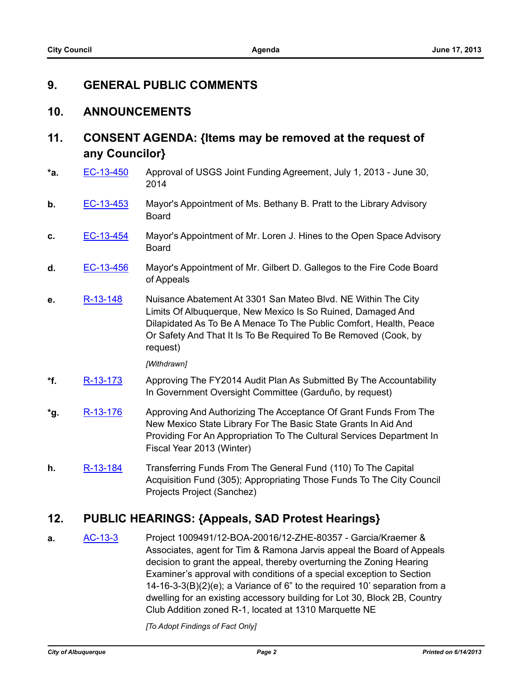## **9. GENERAL PUBLIC COMMENTS**

### **10. ANNOUNCEMENTS**

# **11. CONSENT AGENDA: {Items may be removed at the request of any Councilor}**

- **\*a.** [EC-13-450](http://cabq.legistar.com/gateway.aspx?m=l&id=/matter.aspx?key=8829) Approval of USGS Joint Funding Agreement, July 1, 2013 June 30, 2014
- **b.** [EC-13-453](http://cabq.legistar.com/gateway.aspx?m=l&id=/matter.aspx?key=8833) Mayor's Appointment of Ms. Bethany B. Pratt to the Library Advisory Board
- **c.** [EC-13-454](http://cabq.legistar.com/gateway.aspx?m=l&id=/matter.aspx?key=8834) Mayor's Appointment of Mr. Loren J. Hines to the Open Space Advisory Board
- **d.** [EC-13-456](http://cabq.legistar.com/gateway.aspx?m=l&id=/matter.aspx?key=8838) Mayor's Appointment of Mr. Gilbert D. Gallegos to the Fire Code Board of Appeals
- **e.** [R-13-148](http://cabq.legistar.com/gateway.aspx?m=l&id=/matter.aspx?key=8668) Nuisance Abatement At 3301 San Mateo Blvd. NE Within The City Limits Of Albuquerque, New Mexico Is So Ruined, Damaged And Dilapidated As To Be A Menace To The Public Comfort, Health, Peace Or Safety And That It Is To Be Required To Be Removed (Cook, by request)

*[Withdrawn]*

- **\*f.** [R-13-173](http://cabq.legistar.com/gateway.aspx?m=l&id=/matter.aspx?key=8800) Approving The FY2014 Audit Plan As Submitted By The Accountability In Government Oversight Committee (Garduño, by request)
- **\*g.** [R-13-176](http://cabq.legistar.com/gateway.aspx?m=l&id=/matter.aspx?key=8804) Approving And Authorizing The Acceptance Of Grant Funds From The New Mexico State Library For The Basic State Grants In Aid And Providing For An Appropriation To The Cultural Services Department In Fiscal Year 2013 (Winter)
- **h.** [R-13-184](http://cabq.legistar.com/gateway.aspx?m=l&id=/matter.aspx?key=8839) Transferring Funds From The General Fund (110) To The Capital Acquisition Fund (305); Appropriating Those Funds To The City Council Projects Project (Sanchez)

## **12. PUBLIC HEARINGS: {Appeals, SAD Protest Hearings}**

**a.** [AC-13-3](http://cabq.legistar.com/gateway.aspx?m=l&id=/matter.aspx?key=8730) Project 1009491/12-BOA-20016/12-ZHE-80357 - Garcia/Kraemer & Associates, agent for Tim & Ramona Jarvis appeal the Board of Appeals decision to grant the appeal, thereby overturning the Zoning Hearing Examiner's approval with conditions of a special exception to Section 14-16-3-3(B)(2)(e); a Variance of 6" to the required 10' separation from a dwelling for an existing accessory building for Lot 30, Block 2B, Country Club Addition zoned R-1, located at 1310 Marquette NE

*[To Adopt Findings of Fact Only]*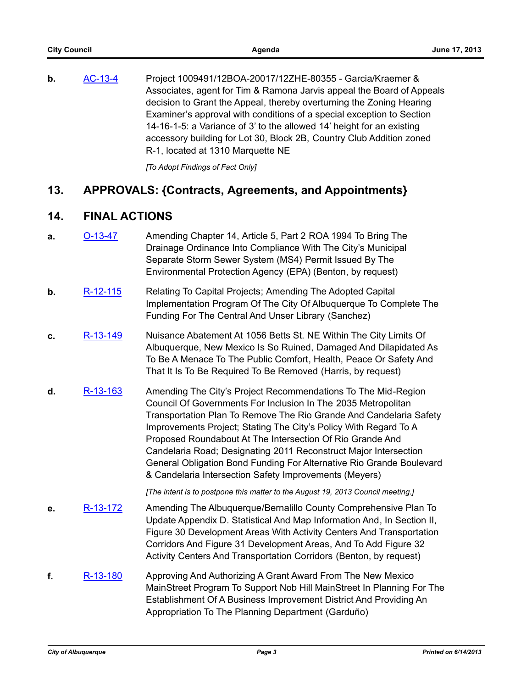**b.** [AC-13-4](http://cabq.legistar.com/gateway.aspx?m=l&id=/matter.aspx?key=8731) Project 1009491/12BOA-20017/12ZHE-80355 - Garcia/Kraemer & Associates, agent for Tim & Ramona Jarvis appeal the Board of Appeals decision to Grant the Appeal, thereby overturning the Zoning Hearing Examiner's approval with conditions of a special exception to Section 14-16-1-5: a Variance of 3' to the allowed 14' height for an existing accessory building for Lot 30, Block 2B, Country Club Addition zoned R-1, located at 1310 Marquette NE

*[To Adopt Findings of Fact Only]*

## **13. APPROVALS: {Contracts, Agreements, and Appointments}**

## **14. FINAL ACTIONS**

- **a.** [O-13-47](http://cabq.legistar.com/gateway.aspx?m=l&id=/matter.aspx?key=8729) Amending Chapter 14, Article 5, Part 2 ROA 1994 To Bring The Drainage Ordinance Into Compliance With The City's Municipal Separate Storm Sewer System (MS4) Permit Issued By The Environmental Protection Agency (EPA) (Benton, by request)
- **b.** [R-12-115](http://cabq.legistar.com/gateway.aspx?m=l&id=/matter.aspx?key=8565) Relating To Capital Projects; Amending The Adopted Capital Implementation Program Of The City Of Albuquerque To Complete The Funding For The Central And Unser Library (Sanchez)
- **c.** [R-13-149](http://cabq.legistar.com/gateway.aspx?m=l&id=/matter.aspx?key=8669) Nuisance Abatement At 1056 Betts St. NE Within The City Limits Of Albuquerque, New Mexico Is So Ruined, Damaged And Dilapidated As To Be A Menace To The Public Comfort, Health, Peace Or Safety And That It Is To Be Required To Be Removed (Harris, by request)
- **d.** [R-13-163](http://cabq.legistar.com/gateway.aspx?m=l&id=/matter.aspx?key=8728) Amending The City's Project Recommendations To The Mid-Region Council Of Governments For Inclusion In The 2035 Metropolitan Transportation Plan To Remove The Rio Grande And Candelaria Safety Improvements Project; Stating The City's Policy With Regard To A Proposed Roundabout At The Intersection Of Rio Grande And Candelaria Road; Designating 2011 Reconstruct Major Intersection General Obligation Bond Funding For Alternative Rio Grande Boulevard & Candelaria Intersection Safety Improvements (Meyers)

*[The intent is to postpone this matter to the August 19, 2013 Council meeting.]*

- **e.** [R-13-172](http://cabq.legistar.com/gateway.aspx?m=l&id=/matter.aspx?key=8772) Amending The Albuquerque/Bernalillo County Comprehensive Plan To Update Appendix D. Statistical And Map Information And, In Section II, Figure 30 Development Areas With Activity Centers And Transportation Corridors And Figure 31 Development Areas, And To Add Figure 32 Activity Centers And Transportation Corridors (Benton, by request)
- **f.** [R-13-180](http://cabq.legistar.com/gateway.aspx?m=l&id=/matter.aspx?key=8827) Approving And Authorizing A Grant Award From The New Mexico MainStreet Program To Support Nob Hill MainStreet In Planning For The Establishment Of A Business Improvement District And Providing An Appropriation To The Planning Department (Garduño)